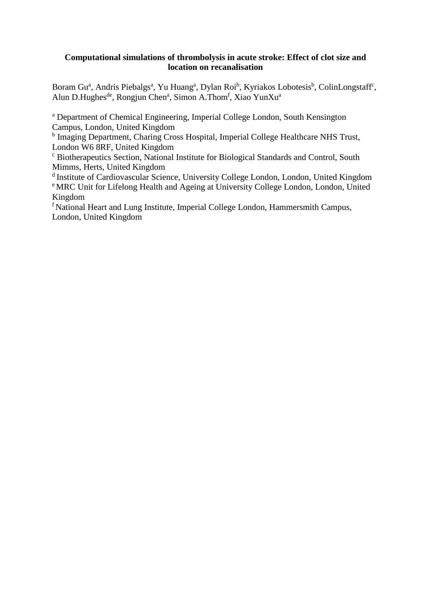## **Computational simulations of thrombolysis in acute stroke: Effect of clot size and location on recanalisation**

Boram Gu<sup>a</sup>, Andris Piebalgs<sup>a</sup>, Yu Huang<sup>a</sup>, Dylan Roi<sup>b</sup>, Kyriakos Lobotesis<sup>b</sup>, ColinLongstaff<sup>c</sup>, Alun D.Hughes<sup>de</sup>, Rongjun Chen<sup>a</sup>, Simon A.Thom<sup>f</sup>, Xiao YunXu<sup>a</sup>

<sup>a</sup> Department of Chemical Engineering, Imperial College London, South Kensington Campus, London, United Kingdom

<sup>b</sup> Imaging Department, Charing Cross Hospital, Imperial College Healthcare NHS Trust, London W6 8RF, United Kingdom

<sup>c</sup> Biotherapeutics Section, National Institute for Biological Standards and Control, South Mimms, Herts, United Kingdom

d Institute of Cardiovascular Science, University College London, London, United Kingdom <sup>e</sup> MRC Unit for Lifelong Health and Ageing at University College London, London, United Kingdom

<sup>f</sup> National Heart and Lung Institute, Imperial College London, Hammersmith Campus, London, United Kingdom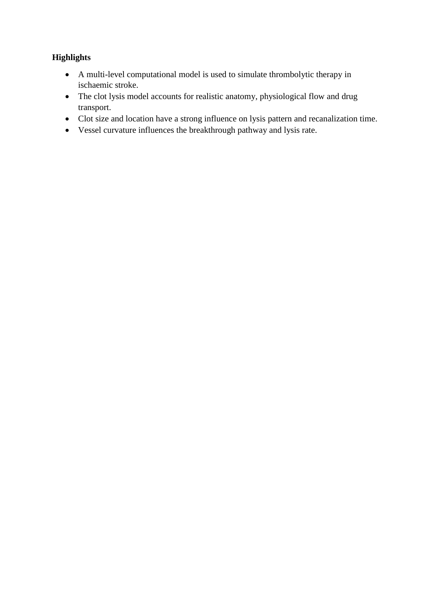# **Highlights**

- A multi-level computational model is used to simulate thrombolytic therapy in ischaemic stroke.
- The clot lysis model accounts for realistic anatomy, physiological flow and drug transport.
- Clot size and location have a strong influence on lysis pattern and recanalization time.
- Vessel curvature influences the breakthrough pathway and lysis rate.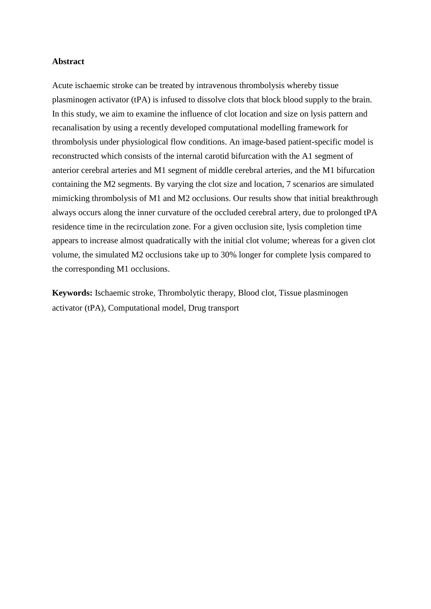## **Abstract**

Acute ischaemic stroke can be treated by intravenous thrombolysis whereby tissue plasminogen activator (tPA) is infused to dissolve clots that block blood supply to the brain. In this study, we aim to examine the influence of clot location and size on lysis pattern and recanalisation by using a recently developed computational modelling framework for thrombolysis under physiological flow conditions. An image-based patient-specific model is reconstructed which consists of the internal carotid bifurcation with the A1 segment of anterior cerebral arteries and M1 segment of middle cerebral arteries, and the M1 bifurcation containing the M2 segments. By varying the clot size and location, 7 scenarios are simulated mimicking thrombolysis of M1 and M2 occlusions. Our results show that initial breakthrough always occurs along the inner curvature of the occluded cerebral artery, due to prolonged tPA residence time in the recirculation zone. For a given occlusion site, lysis completion time appears to increase almost quadratically with the initial clot volume; whereas for a given clot volume, the simulated M2 occlusions take up to 30% longer for complete lysis compared to the corresponding M1 occlusions.

**Keywords:** Ischaemic stroke, Thrombolytic therapy, Blood clot, Tissue plasminogen activator (tPA), Computational model, Drug transport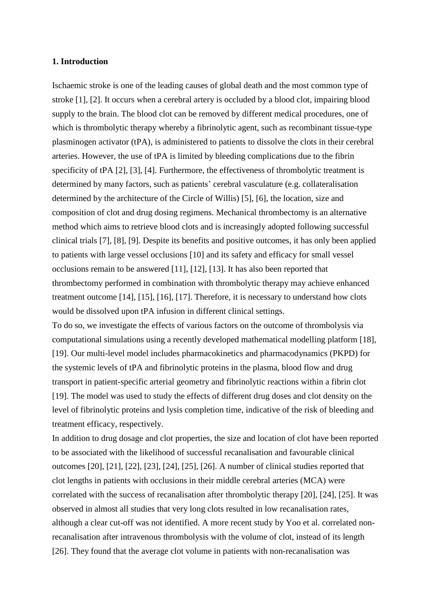#### **1. Introduction**

Ischaemic stroke is one of the leading causes of global death and the most common type of stroke [1], [2]. It occurs when a cerebral artery is occluded by a blood clot, impairing blood supply to the brain. The blood clot can be removed by different medical procedures, one of which is thrombolytic therapy whereby a fibrinolytic agent, such as recombinant tissue-type plasminogen activator (tPA), is administered to patients to dissolve the clots in their cerebral arteries. However, the use of tPA is limited by bleeding complications due to the fibrin specificity of tPA [2], [3], [4]. Furthermore, the effectiveness of thrombolytic treatment is determined by many factors, such as patients' cerebral vasculature (e.g. collateralisation determined by the architecture of the Circle of Willis) [5], [6], the location, size and composition of clot and drug dosing regimens. Mechanical thrombectomy is an alternative method which aims to retrieve blood clots and is increasingly adopted following successful clinical trials [7], [8], [9]. Despite its benefits and positive outcomes, it has only been applied to patients with large vessel occlusions [10] and its safety and efficacy for small vessel occlusions remain to be answered [11], [12], [13]. It has also been reported that thrombectomy performed in combination with thrombolytic therapy may achieve enhanced treatment outcome [14], [15], [16], [17]. Therefore, it is necessary to understand how clots would be dissolved upon tPA infusion in different clinical settings.

To do so, we investigate the effects of various factors on the outcome of thrombolysis via computational simulations using a recently developed mathematical modelling platform [18], [19]. Our multi-level model includes pharmacokinetics and pharmacodynamics (PKPD) for the systemic levels of tPA and fibrinolytic proteins in the plasma, blood flow and drug transport in patient-specific arterial geometry and fibrinolytic reactions within a fibrin clot [19]. The model was used to study the effects of different drug doses and clot density on the level of fibrinolytic proteins and lysis completion time, indicative of the risk of bleeding and treatment efficacy, respectively.

In addition to drug dosage and clot properties, the size and location of clot have been reported to be associated with the likelihood of successful recanalisation and favourable clinical outcomes [20], [21], [22], [23], [24], [25], [26]. A number of clinical studies reported that clot lengths in patients with occlusions in their middle cerebral arteries (MCA) were correlated with the success of recanalisation after thrombolytic therapy [20], [24], [25]. It was observed in almost all studies that very long clots resulted in low recanalisation rates, although a clear cut-off was not identified. A more recent study by Yoo et al. correlated nonrecanalisation after intravenous thrombolysis with the volume of clot, instead of its length [26]. They found that the average clot volume in patients with non-recanalisation was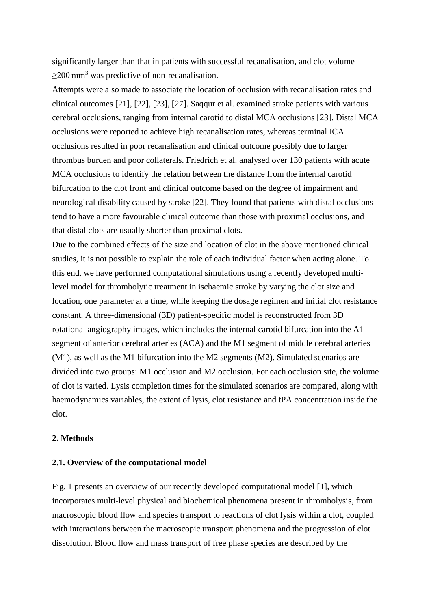significantly larger than that in patients with successful recanalisation, and clot volume  $\geq$ 200 mm<sup>3</sup> was predictive of non-recanalisation.

Attempts were also made to associate the location of occlusion with recanalisation rates and clinical outcomes [21], [22], [23], [27]. Saqqur et al. examined stroke patients with various cerebral occlusions, ranging from internal carotid to distal MCA occlusions [23]. Distal MCA occlusions were reported to achieve high recanalisation rates, whereas terminal ICA occlusions resulted in poor recanalisation and clinical outcome possibly due to larger thrombus burden and poor collaterals. Friedrich et al. analysed over 130 patients with acute MCA occlusions to identify the relation between the distance from the internal carotid bifurcation to the clot front and clinical outcome based on the degree of impairment and neurological disability caused by stroke [22]. They found that patients with distal occlusions tend to have a more favourable clinical outcome than those with proximal occlusions, and that distal clots are usually shorter than proximal clots.

Due to the combined effects of the size and location of clot in the above mentioned clinical studies, it is not possible to explain the role of each individual factor when acting alone. To this end, we have performed computational simulations using a recently developed multilevel model for thrombolytic treatment in ischaemic stroke by varying the clot size and location, one parameter at a time, while keeping the dosage regimen and initial clot resistance constant. A three-dimensional (3D) patient-specific model is reconstructed from 3D rotational angiography images, which includes the internal carotid bifurcation into the A1 segment of anterior cerebral arteries (ACA) and the M1 segment of middle cerebral arteries (M1), as well as the M1 bifurcation into the M2 segments (M2). Simulated scenarios are divided into two groups: M1 occlusion and M2 occlusion. For each occlusion site, the volume of clot is varied. Lysis completion times for the simulated scenarios are compared, along with haemodynamics variables, the extent of lysis, clot resistance and tPA concentration inside the clot.

## **2. Methods**

## **2.1. Overview of the computational model**

Fig. 1 presents an overview of our recently developed computational model [1], which incorporates multi-level physical and biochemical phenomena present in thrombolysis, from macroscopic blood flow and species transport to reactions of clot lysis within a clot, coupled with interactions between the macroscopic transport phenomena and the progression of clot dissolution. Blood flow and mass transport of free phase species are described by the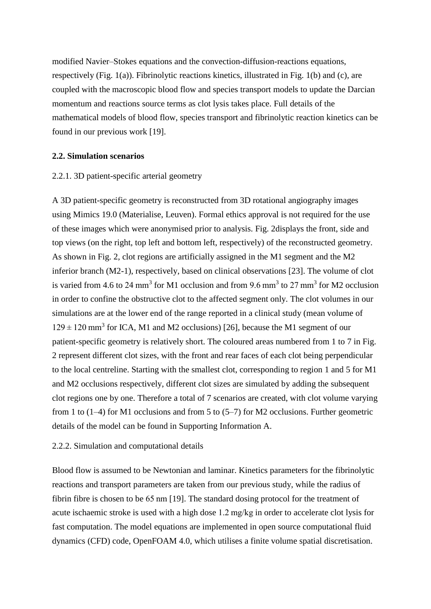modified Navier–Stokes equations and the convection-diffusion-reactions equations, respectively (Fig. 1(a)). Fibrinolytic reactions kinetics, illustrated in Fig. 1(b) and (c), are coupled with the macroscopic blood flow and species transport models to update the Darcian momentum and reactions source terms as clot lysis takes place. Full details of the mathematical models of blood flow, species transport and fibrinolytic reaction kinetics can be found in our previous work [19].

#### **2.2. Simulation scenarios**

#### 2.2.1. 3D patient-specific arterial geometry

A 3D patient-specific geometry is reconstructed from 3D rotational angiography images using Mimics 19.0 (Materialise, Leuven). Formal ethics approval is not required for the use of these images which were anonymised prior to analysis. Fig. 2displays the front, side and top views (on the right, top left and bottom left, respectively) of the reconstructed geometry. As shown in Fig. 2, clot regions are artificially assigned in the M1 segment and the M2 inferior branch (M2-1), respectively, based on clinical observations [23]. The volume of clot is varied from 4.6 to 24 mm<sup>3</sup> for M1 occlusion and from 9.6 mm<sup>3</sup> to 27 mm<sup>3</sup> for M2 occlusion in order to confine the obstructive clot to the affected segment only. The clot volumes in our simulations are at the lower end of the range reported in a clinical study (mean volume of  $129 \pm 120$  mm<sup>3</sup> for ICA, M1 and M2 occlusions) [26], because the M1 segment of our patient-specific geometry is relatively short. The coloured areas numbered from 1 to 7 in Fig. 2 represent different clot sizes, with the front and rear faces of each clot being perpendicular to the local centreline. Starting with the smallest clot, corresponding to region 1 and 5 for M1 and M2 occlusions respectively, different clot sizes are simulated by adding the subsequent clot regions one by one. Therefore a total of 7 scenarios are created, with clot volume varying from 1 to (1–4) for M1 occlusions and from 5 to (5–7) for M2 occlusions. Further geometric details of the model can be found in Supporting Information A.

#### 2.2.2. Simulation and computational details

Blood flow is assumed to be Newtonian and laminar. Kinetics parameters for the fibrinolytic reactions and transport parameters are taken from our previous study, while the radius of fibrin fibre is chosen to be 65 nm [19]. The standard dosing protocol for the treatment of acute ischaemic stroke is used with a high dose 1.2 mg/kg in order to accelerate clot lysis for fast computation. The model equations are implemented in open source computational fluid dynamics (CFD) code, OpenFOAM 4.0, which utilises a finite volume spatial discretisation.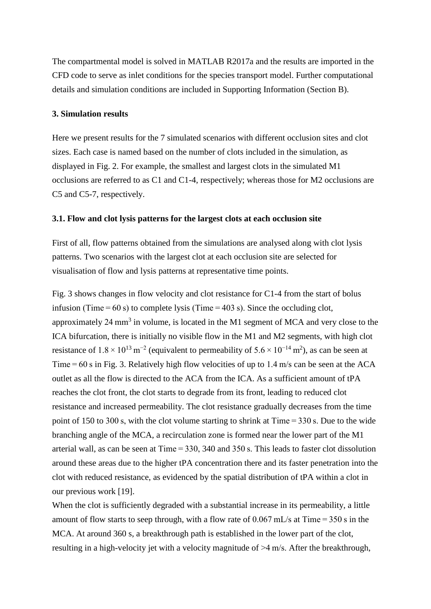The compartmental model is solved in MATLAB R2017a and the results are imported in the CFD code to serve as inlet conditions for the species transport model. Further computational details and simulation conditions are included in Supporting Information (Section B).

#### **3. Simulation results**

Here we present results for the 7 simulated scenarios with different occlusion sites and clot sizes. Each case is named based on the number of clots included in the simulation, as displayed in Fig. 2. For example, the smallest and largest clots in the simulated M1 occlusions are referred to as C1 and C1-4, respectively; whereas those for M2 occlusions are C5 and C5-7, respectively.

#### **3.1. Flow and clot lysis patterns for the largest clots at each occlusion site**

First of all, flow patterns obtained from the simulations are analysed along with clot lysis patterns. Two scenarios with the largest clot at each occlusion site are selected for visualisation of flow and lysis patterns at representative time points.

Fig. 3 shows changes in flow velocity and clot resistance for C1-4 from the start of bolus infusion (Time  $= 60$  s) to complete lysis (Time  $= 403$  s). Since the occluding clot, approximately 24 mm<sup>3</sup> in volume, is located in the M1 segment of MCA and very close to the ICA bifurcation, there is initially no visible flow in the M1 and M2 segments, with high clot resistance of  $1.8 \times 10^{13}$  m<sup>-2</sup> (equivalent to permeability of  $5.6 \times 10^{-14}$  m<sup>2</sup>), as can be seen at Time = 60 s in Fig. 3. Relatively high flow velocities of up to 1.4 m/s can be seen at the ACA outlet as all the flow is directed to the ACA from the ICA. As a sufficient amount of tPA reaches the clot front, the clot starts to degrade from its front, leading to reduced clot resistance and increased permeability. The clot resistance gradually decreases from the time point of 150 to 300 s, with the clot volume starting to shrink at Time = 330 s. Due to the wide branching angle of the MCA, a recirculation zone is formed near the lower part of the M1 arterial wall, as can be seen at Time = 330, 340 and 350 s. This leads to faster clot dissolution around these areas due to the higher tPA concentration there and its faster penetration into the clot with reduced resistance, as evidenced by the spatial distribution of tPA within a clot in our previous work [19].

When the clot is sufficiently degraded with a substantial increase in its permeability, a little amount of flow starts to seep through, with a flow rate of  $0.067$  mL/s at Time = 350 s in the MCA. At around 360 s, a breakthrough path is established in the lower part of the clot, resulting in a high-velocity jet with a velocity magnitude of >4 m/s. After the breakthrough,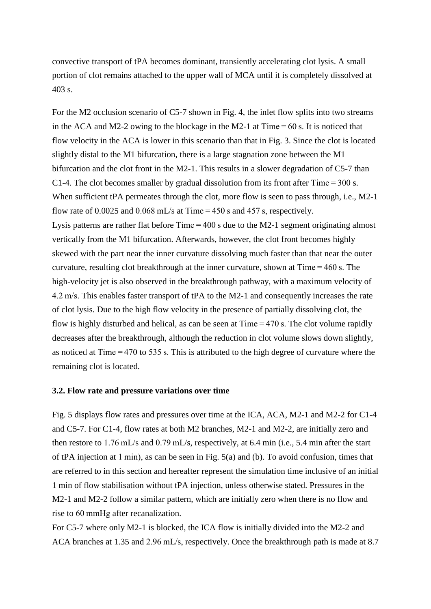convective transport of tPA becomes dominant, transiently accelerating clot lysis. A small portion of clot remains attached to the upper wall of MCA until it is completely dissolved at 403 s.

For the M2 occlusion scenario of C5-7 shown in Fig. 4, the inlet flow splits into two streams in the ACA and M2-2 owing to the blockage in the M2-1 at  $Time = 60$  s. It is noticed that flow velocity in the ACA is lower in this scenario than that in Fig. 3. Since the clot is located slightly distal to the M1 bifurcation, there is a large stagnation zone between the M1 bifurcation and the clot front in the M2-1. This results in a slower degradation of C5-7 than C1-4. The clot becomes smaller by gradual dissolution from its front after Time =  $300$  s. When sufficient tPA permeates through the clot, more flow is seen to pass through, i.e., M2-1 flow rate of 0.0025 and 0.068 mL/s at Time =  $450$  s and  $457$  s, respectively. Lysis patterns are rather flat before Time = 400 s due to the M2-1 segment originating almost vertically from the M1 bifurcation. Afterwards, however, the clot front becomes highly skewed with the part near the inner curvature dissolving much faster than that near the outer curvature, resulting clot breakthrough at the inner curvature, shown at Time = 460 s. The high-velocity jet is also observed in the breakthrough pathway, with a maximum velocity of 4.2 m/s. This enables faster transport of tPA to the M2-1 and consequently increases the rate of clot lysis. Due to the high flow velocity in the presence of partially dissolving clot, the flow is highly disturbed and helical, as can be seen at Time = 470 s. The clot volume rapidly decreases after the breakthrough, although the reduction in clot volume slows down slightly, as noticed at Time = 470 to 535 s. This is attributed to the high degree of curvature where the remaining clot is located.

#### **3.2. Flow rate and pressure variations over time**

Fig. 5 displays flow rates and pressures over time at the ICA, ACA, M2-1 and M2-2 for C1-4 and C5-7. For C1-4, flow rates at both M2 branches, M2-1 and M2-2, are initially zero and then restore to 1.76 mL/s and 0.79 mL/s, respectively, at 6.4 min (i.e., 5.4 min after the start of tPA injection at 1 min), as can be seen in Fig. 5(a) and (b). To avoid confusion, times that are referred to in this section and hereafter represent the simulation time inclusive of an initial 1 min of flow stabilisation without tPA injection, unless otherwise stated. Pressures in the M2-1 and M2-2 follow a similar pattern, which are initially zero when there is no flow and rise to 60 mmHg after recanalization.

For C5-7 where only M2-1 is blocked, the ICA flow is initially divided into the M2-2 and ACA branches at 1.35 and 2.96 mL/s, respectively. Once the breakthrough path is made at 8.7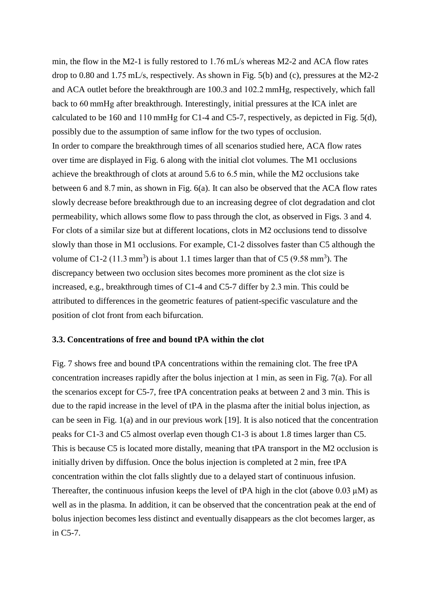min, the flow in the M2-1 is fully restored to 1.76 mL/s whereas M2-2 and ACA flow rates drop to 0.80 and 1.75 mL/s, respectively. As shown in Fig. 5(b) and (c), pressures at the M2-2 and ACA outlet before the breakthrough are 100.3 and 102.2 mmHg, respectively, which fall back to 60 mmHg after breakthrough. Interestingly, initial pressures at the ICA inlet are calculated to be 160 and 110 mmHg for C1-4 and C5-7, respectively, as depicted in Fig. 5(d), possibly due to the assumption of same inflow for the two types of occlusion. In order to compare the breakthrough times of all scenarios studied here, ACA flow rates over time are displayed in Fig. 6 along with the initial clot volumes. The M1 occlusions achieve the breakthrough of clots at around 5.6 to 6.5 min, while the M2 occlusions take between 6 and 8.7 min, as shown in Fig. 6(a). It can also be observed that the ACA flow rates slowly decrease before breakthrough due to an increasing degree of clot degradation and clot permeability, which allows some flow to pass through the clot, as observed in Figs. 3 and 4. For clots of a similar size but at different locations, clots in M2 occlusions tend to dissolve slowly than those in M1 occlusions. For example, C1-2 dissolves faster than C5 although the volume of C1-2 (11.3 mm<sup>3</sup>) is about 1.1 times larger than that of C5 (9.58 mm<sup>3</sup>). The discrepancy between two occlusion sites becomes more prominent as the clot size is increased, e.g., breakthrough times of C1-4 and C5-7 differ by 2.3 min. This could be attributed to differences in the geometric features of patient-specific vasculature and the position of clot front from each bifurcation.

#### **3.3. Concentrations of free and bound tPA within the clot**

Fig. 7 shows free and bound tPA concentrations within the remaining clot. The free tPA concentration increases rapidly after the bolus injection at 1 min, as seen in Fig. 7(a). For all the scenarios except for C5-7, free tPA concentration peaks at between 2 and 3 min. This is due to the rapid increase in the level of tPA in the plasma after the initial bolus injection, as can be seen in Fig. 1(a) and in our previous work [19]. It is also noticed that the concentration peaks for C1-3 and C5 almost overlap even though C1-3 is about 1.8 times larger than C5. This is because C5 is located more distally, meaning that tPA transport in the M2 occlusion is initially driven by diffusion. Once the bolus injection is completed at 2 min, free tPA concentration within the clot falls slightly due to a delayed start of continuous infusion. Thereafter, the continuous infusion keeps the level of tPA high in the clot (above  $0.03 \mu M$ ) as well as in the plasma. In addition, it can be observed that the concentration peak at the end of bolus injection becomes less distinct and eventually disappears as the clot becomes larger, as in C5-7.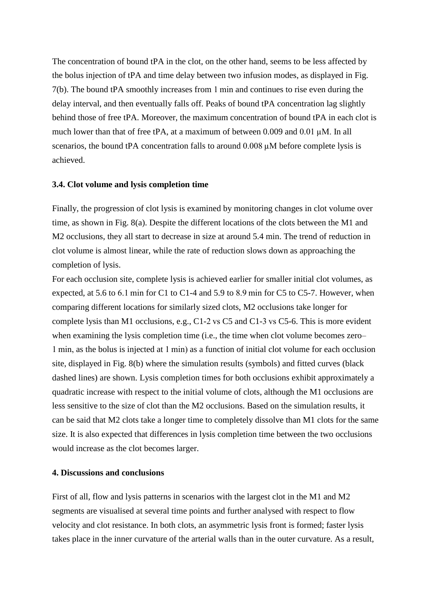The concentration of bound tPA in the clot, on the other hand, seems to be less affected by the bolus injection of tPA and time delay between two infusion modes, as displayed in Fig. 7(b). The bound tPA smoothly increases from 1 min and continues to rise even during the delay interval, and then eventually falls off. Peaks of bound tPA concentration lag slightly behind those of free tPA. Moreover, the maximum concentration of bound tPA in each clot is much lower than that of free tPA, at a maximum of between 0.009 and 0.01 µM. In all scenarios, the bound tPA concentration falls to around 0.008  $\mu$ M before complete lysis is achieved.

#### **3.4. Clot volume and lysis completion time**

Finally, the progression of clot lysis is examined by monitoring changes in clot volume over time, as shown in Fig. 8(a). Despite the different locations of the clots between the M1 and M2 occlusions, they all start to decrease in size at around 5.4 min. The trend of reduction in clot volume is almost linear, while the rate of reduction slows down as approaching the completion of lysis.

For each occlusion site, complete lysis is achieved earlier for smaller initial clot volumes, as expected, at 5.6 to 6.1 min for C1 to C1-4 and 5.9 to 8.9 min for C5 to C5-7. However, when comparing different locations for similarly sized clots, M2 occlusions take longer for complete lysis than M1 occlusions, e.g., C1-2 vs C5 and C1-3 vs C5-6. This is more evident when examining the lysis completion time (i.e., the time when clot volume becomes zero– 1 min, as the bolus is injected at 1 min) as a function of initial clot volume for each occlusion site, displayed in Fig. 8(b) where the simulation results (symbols) and fitted curves (black dashed lines) are shown. Lysis completion times for both occlusions exhibit approximately a quadratic increase with respect to the initial volume of clots, although the M1 occlusions are less sensitive to the size of clot than the M2 occlusions. Based on the simulation results, it can be said that M2 clots take a longer time to completely dissolve than M1 clots for the same size. It is also expected that differences in lysis completion time between the two occlusions would increase as the clot becomes larger.

## **4. Discussions and conclusions**

First of all, flow and lysis patterns in scenarios with the largest clot in the M1 and M2 segments are visualised at several time points and further analysed with respect to flow velocity and clot resistance. In both clots, an asymmetric lysis front is formed; faster lysis takes place in the inner curvature of the arterial walls than in the outer curvature. As a result,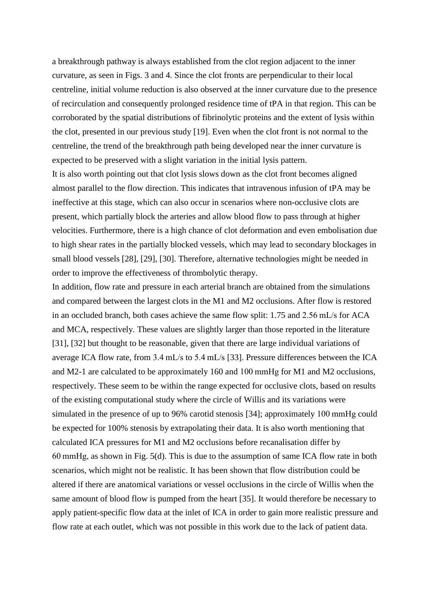a breakthrough pathway is always established from the clot region adjacent to the inner curvature, as seen in Figs. 3 and 4. Since the clot fronts are perpendicular to their local centreline, initial volume reduction is also observed at the inner curvature due to the presence of recirculation and consequently prolonged residence time of tPA in that region. This can be corroborated by the spatial distributions of fibrinolytic proteins and the extent of lysis within the clot, presented in our previous study [19]. Even when the clot front is not normal to the centreline, the trend of the breakthrough path being developed near the inner curvature is expected to be preserved with a slight variation in the initial lysis pattern.

It is also worth pointing out that clot lysis slows down as the clot front becomes aligned almost parallel to the flow direction. This indicates that intravenous infusion of tPA may be ineffective at this stage, which can also occur in scenarios where non-occlusive clots are present, which partially block the arteries and allow blood flow to pass through at higher velocities. Furthermore, there is a high chance of clot deformation and even embolisation due to high shear rates in the partially blocked vessels, which may lead to secondary blockages in small blood vessels [28], [29], [30]. Therefore, alternative technologies might be needed in order to improve the effectiveness of thrombolytic therapy.

In addition, flow rate and pressure in each arterial branch are obtained from the simulations and compared between the largest clots in the M1 and M2 occlusions. After flow is restored in an occluded branch, both cases achieve the same flow split: 1.75 and 2.56 mL/s for ACA and MCA, respectively. These values are slightly larger than those reported in the literature [31], [32] but thought to be reasonable, given that there are large individual variations of average ICA flow rate, from 3.4 mL/s to 5.4 mL/s [33]. Pressure differences between the ICA and M2-1 are calculated to be approximately 160 and 100 mmHg for M1 and M2 occlusions, respectively. These seem to be within the range expected for occlusive clots, based on results of the existing computational study where the circle of Willis and its variations were simulated in the presence of up to 96% carotid stenosis [34]; approximately 100 mmHg could be expected for 100% stenosis by extrapolating their data. It is also worth mentioning that calculated ICA pressures for M1 and M2 occlusions before recanalisation differ by 60 mmHg, as shown in Fig. 5(d). This is due to the assumption of same ICA flow rate in both scenarios, which might not be realistic. It has been shown that flow distribution could be altered if there are anatomical variations or vessel occlusions in the circle of Willis when the same amount of blood flow is pumped from the heart [35]. It would therefore be necessary to apply patient-specific flow data at the inlet of ICA in order to gain more realistic pressure and flow rate at each outlet, which was not possible in this work due to the lack of patient data.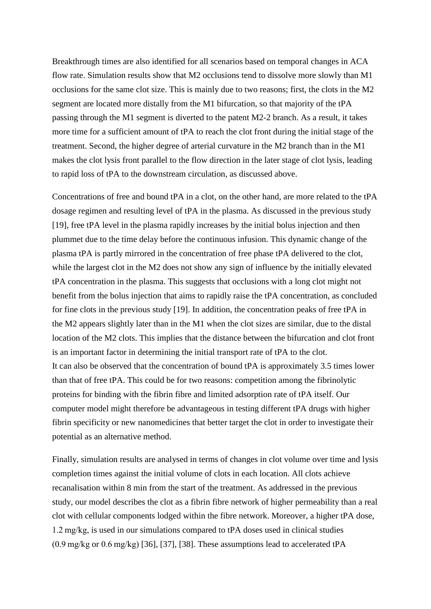Breakthrough times are also identified for all scenarios based on temporal changes in ACA flow rate. Simulation results show that M2 occlusions tend to dissolve more slowly than M1 occlusions for the same clot size. This is mainly due to two reasons; first, the clots in the M2 segment are located more distally from the M1 bifurcation, so that majority of the tPA passing through the M1 segment is diverted to the patent M2-2 branch. As a result, it takes more time for a sufficient amount of tPA to reach the clot front during the initial stage of the treatment. Second, the higher degree of arterial curvature in the M2 branch than in the M1 makes the clot lysis front parallel to the flow direction in the later stage of clot lysis, leading to rapid loss of tPA to the downstream circulation, as discussed above.

Concentrations of free and bound tPA in a clot, on the other hand, are more related to the tPA dosage regimen and resulting level of tPA in the plasma. As discussed in the previous study [19], free tPA level in the plasma rapidly increases by the initial bolus injection and then plummet due to the time delay before the continuous infusion. This dynamic change of the plasma tPA is partly mirrored in the concentration of free phase tPA delivered to the clot, while the largest clot in the M2 does not show any sign of influence by the initially elevated tPA concentration in the plasma. This suggests that occlusions with a long clot might not benefit from the bolus injection that aims to rapidly raise the tPA concentration, as concluded for fine clots in the previous study [19]. In addition, the concentration peaks of free tPA in the M2 appears slightly later than in the M1 when the clot sizes are similar, due to the distal location of the M2 clots. This implies that the distance between the bifurcation and clot front is an important factor in determining the initial transport rate of tPA to the clot. It can also be observed that the concentration of bound tPA is approximately 3.5 times lower than that of free tPA. This could be for two reasons: competition among the fibrinolytic proteins for binding with the fibrin fibre and limited adsorption rate of tPA itself. Our computer model might therefore be advantageous in testing different tPA drugs with higher fibrin specificity or new nanomedicines that better target the clot in order to investigate their potential as an alternative method.

Finally, simulation results are analysed in terms of changes in clot volume over time and lysis completion times against the initial volume of clots in each location. All clots achieve recanalisation within 8 min from the start of the treatment. As addressed in the previous study, our model describes the clot as a fibrin fibre network of higher permeability than a real clot with cellular components lodged within the fibre network. Moreover, a higher tPA dose, 1.2 mg/kg, is used in our simulations compared to tPA doses used in clinical studies (0.9 mg/kg or 0.6 mg/kg) [36], [37], [38]. These assumptions lead to accelerated tPA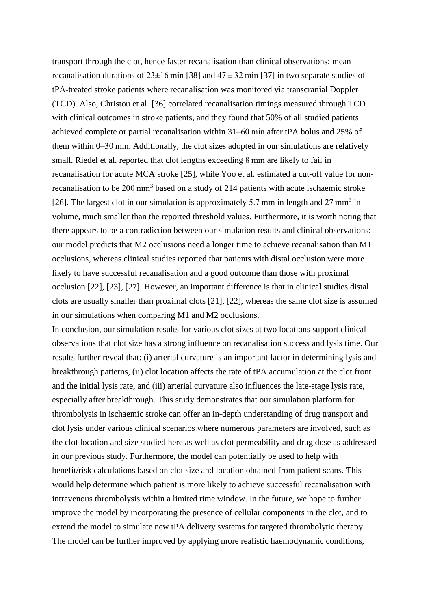transport through the clot, hence faster recanalisation than clinical observations; mean recanalisation durations of  $23\pm16$  min [38] and  $47\pm32$  min [37] in two separate studies of tPA-treated stroke patients where recanalisation was monitored via transcranial Doppler (TCD). Also, Christou et al. [36] correlated recanalisation timings measured through TCD with clinical outcomes in stroke patients, and they found that 50% of all studied patients achieved complete or partial recanalisation within 31–60 min after tPA bolus and 25% of them within 0–30 min. Additionally, the clot sizes adopted in our simulations are relatively small. Riedel et al. reported that clot lengths exceeding 8 mm are likely to fail in recanalisation for acute MCA stroke [25], while Yoo et al. estimated a cut-off value for nonrecanalisation to be 200 mm<sup>3</sup> based on a study of 214 patients with acute ischaemic stroke [26]. The largest clot in our simulation is approximately 5.7 mm in length and 27 mm<sup>3</sup> in volume, much smaller than the reported threshold values. Furthermore, it is worth noting that there appears to be a contradiction between our simulation results and clinical observations: our model predicts that M2 occlusions need a longer time to achieve recanalisation than M1 occlusions, whereas clinical studies reported that patients with distal occlusion were more likely to have successful recanalisation and a good outcome than those with proximal occlusion [22], [23], [27]. However, an important difference is that in clinical studies distal clots are usually smaller than proximal clots [21], [22], whereas the same clot size is assumed in our simulations when comparing M1 and M2 occlusions.

In conclusion, our simulation results for various clot sizes at two locations support clinical observations that clot size has a strong influence on recanalisation success and lysis time. Our results further reveal that: (i) arterial curvature is an important factor in determining lysis and breakthrough patterns, (ii) clot location affects the rate of tPA accumulation at the clot front and the initial lysis rate, and (iii) arterial curvature also influences the late-stage lysis rate, especially after breakthrough. This study demonstrates that our simulation platform for thrombolysis in ischaemic stroke can offer an in-depth understanding of drug transport and clot lysis under various clinical scenarios where numerous parameters are involved, such as the clot location and size studied here as well as clot permeability and drug dose as addressed in our previous study. Furthermore, the model can potentially be used to help with benefit/risk calculations based on clot size and location obtained from patient scans. This would help determine which patient is more likely to achieve successful recanalisation with intravenous thrombolysis within a limited time window. In the future, we hope to further improve the model by incorporating the presence of cellular components in the clot, and to extend the model to simulate new tPA delivery systems for targeted thrombolytic therapy. The model can be further improved by applying more realistic haemodynamic conditions,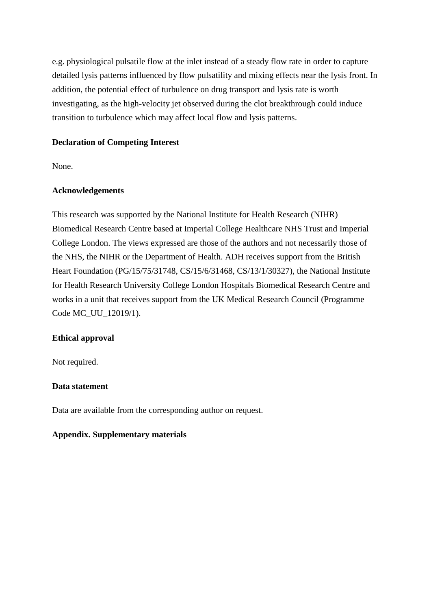e.g. physiological pulsatile flow at the inlet instead of a steady flow rate in order to capture detailed lysis patterns influenced by flow pulsatility and mixing effects near the lysis front. In addition, the potential effect of turbulence on drug transport and lysis rate is worth investigating, as the high-velocity jet observed during the clot breakthrough could induce transition to turbulence which may affect local flow and lysis patterns.

## **Declaration of Competing Interest**

None.

## **Acknowledgements**

This research was supported by the National Institute for Health Research (NIHR) Biomedical Research Centre based at Imperial College Healthcare NHS Trust and Imperial College London. The views expressed are those of the authors and not necessarily those of the NHS, the NIHR or the Department of Health. ADH receives support from the British Heart Foundation (PG/15/75/31748, CS/15/6/31468, CS/13/1/30327), the National Institute for Health Research University College London Hospitals Biomedical Research Centre and works in a unit that receives support from the UK Medical Research Council (Programme Code MC\_UU\_12019/1).

## **Ethical approval**

Not required.

#### **Data statement**

Data are available from the corresponding author on request.

#### **Appendix. Supplementary materials**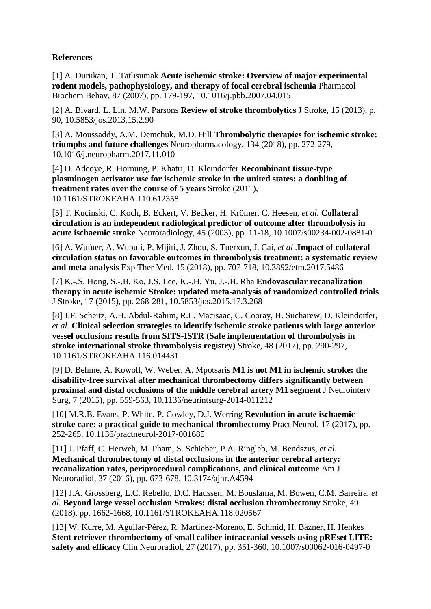# **References**

[1] A. Durukan, T. Tatlisumak **Acute ischemic stroke: Overview of major experimental rodent models, pathophysiology, and therapy of focal cerebral ischemia** Pharmacol Biochem Behav, 87 (2007), pp. 179-197, 10.1016/j.pbb.2007.04.015

[2] A. Bivard, L. Lin, M.W. Parsons **Review of stroke thrombolytics** J Stroke, 15 (2013), p. 90, 10.5853/jos.2013.15.2.90

[3] A. Moussaddy, A.M. Demchuk, M.D. Hill **Thrombolytic therapies for ischemic stroke: triumphs and future challenges** Neuropharmacology, 134 (2018), pp. 272-279, 10.1016/j.neuropharm.2017.11.010

[4] O. Adeoye, R. Hornung, P. Khatri, D. Kleindorfer **Recombinant tissue-type plasminogen activator use for ischemic stroke in the united states: a doubling of treatment rates over the course of 5 years** Stroke (2011), 10.1161/STROKEAHA.110.612358

[5] T. Kucinski, C. Koch, B. Eckert, V. Becker, H. Krömer, C. Heesen, *et al.* **Collateral circulation is an independent radiological predictor of outcome after thrombolysis in acute ischaemic stroke** Neuroradiology, 45 (2003), pp. 11-18, 10.1007/s00234-002-0881-0

[6] A. Wufuer, A. Wubuli, P. Mijiti, J. Zhou, S. Tuerxun, J. Cai, *et al .***Impact of collateral circulation status on favorable outcomes in thrombolysis treatment: a systematic review and meta-analysis** Exp Ther Med, 15 (2018), pp. 707-718, 10.3892/etm.2017.5486

[7] K.-.S. Hong, S.-.B. Ko, J.S. Lee, K.-.H. Yu, J.-.H. Rha **Endovascular recanalization therapy in acute ischemic Stroke: updated meta-analysis of randomized controlled trials** J Stroke, 17 (2015), pp. 268-281, 10.5853/jos.2015.17.3.268

[8] J.F. Scheitz, A.H. Abdul-Rahim, R.L. Macisaac, C. Cooray, H. Sucharew, D. Kleindorfer, *et al.* **Clinical selection strategies to identify ischemic stroke patients with large anterior vessel occlusion: results from SITS-ISTR (Safe implementation of thrombolysis in stroke international stroke thrombolysis registry)** Stroke, 48 (2017), pp. 290-297, 10.1161/STROKEAHA.116.014431

[9] D. Behme, A. Kowoll, W. Weber, A. Mpotsaris **M1 is not M1 in ischemic stroke: the disability-free survival after mechanical thrombectomy differs significantly between proximal and distal occlusions of the middle cerebral artery M1 segment** J Neurointerv Surg, 7 (2015), pp. 559-563, 10.1136/neurintsurg-2014-011212

[10] M.R.B. Evans, P. White, P. Cowley, D.J. Werring **Revolution in acute ischaemic stroke care: a practical guide to mechanical thrombectomy** Pract Neurol, 17 (2017), pp. 252-265, 10.1136/practneurol-2017-001685

[11] J. Pfaff, C. Herweh, M. Pham, S. Schieber, P.A. Ringleb, M. Bendszus, *et al.*  **Mechanical thrombectomy of distal occlusions in the anterior cerebral artery: recanalization rates, periprocedural complications, and clinical outcome** Am J Neuroradiol, 37 (2016), pp. 673-678, 10.3174/ajnr.A4594

[12] J.A. Grossberg, L.C. Rebello, D.C. Haussen, M. Bouslama, M. Bowen, C.M. Barreira, *et al.* **Beyond large vessel occlusion Strokes: distal occlusion thrombectomy** Stroke, 49 (2018), pp. 1662-1668, 10.1161/STROKEAHA.118.020567

[13] W. Kurre, M. Aguilar-Pérez, R. Martinez-Moreno, E. Schmid, H. Bäzner, H. Henkes **Stent retriever thrombectomy of small caliber intracranial vessels using pREset LITE: safety and efficacy** Clin Neuroradiol, 27 (2017), pp. 351-360, 10.1007/s00062-016-0497-0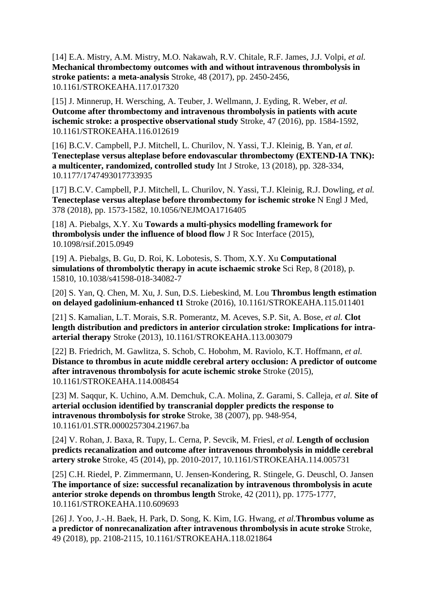[14] E.A. Mistry, A.M. Mistry, M.O. Nakawah, R.V. Chitale, R.F. James, J.J. Volpi, *et al.*  **Mechanical thrombectomy outcomes with and without intravenous thrombolysis in stroke patients: a meta-analysis** Stroke, 48 (2017), pp. 2450-2456, 10.1161/STROKEAHA.117.017320

[15] J. Minnerup, H. Wersching, A. Teuber, J. Wellmann, J. Eyding, R. Weber, *et al.* **Outcome after thrombectomy and intravenous thrombolysis in patients with acute ischemic stroke: a prospective observational study** Stroke, 47 (2016), pp. 1584-1592, 10.1161/STROKEAHA.116.012619

[16] B.C.V. Campbell, P.J. Mitchell, L. Churilov, N. Yassi, T.J. Kleinig, B. Yan, *et al.*  **Tenecteplase versus alteplase before endovascular thrombectomy (EXTEND-IA TNK): a multicenter, randomized, controlled study** Int J Stroke, 13 (2018), pp. 328-334, 10.1177/1747493017733935

[17] B.C.V. Campbell, P.J. Mitchell, L. Churilov, N. Yassi, T.J. Kleinig, R.J. Dowling, *et al.*  **Tenecteplase versus alteplase before thrombectomy for ischemic stroke** N Engl J Med, 378 (2018), pp. 1573-1582, 10.1056/NEJMOA1716405

[18] A. Piebalgs, X.Y. Xu **Towards a multi-physics modelling framework for thrombolysis under the influence of blood flow** J R Soc Interface (2015), 10.1098/rsif.2015.0949

[19] A. Piebalgs, B. Gu, D. Roi, K. Lobotesis, S. Thom, X.Y. Xu **Computational simulations of thrombolytic therapy in acute ischaemic stroke** Sci Rep, 8 (2018), p. 15810, 10.1038/s41598-018-34082-7

[20] S. Yan, Q. Chen, M. Xu, J. Sun, D.S. Liebeskind, M. Lou **Thrombus length estimation on delayed gadolinium-enhanced t1** Stroke (2016), 10.1161/STROKEAHA.115.011401

[21] S. Kamalian, L.T. Morais, S.R. Pomerantz, M. Aceves, S.P. Sit, A. Bose, *et al.* **Clot length distribution and predictors in anterior circulation stroke: Implications for intraarterial therapy** Stroke (2013), 10.1161/STROKEAHA.113.003079

[22] B. Friedrich, M. Gawlitza, S. Schob, C. Hobohm, M. Raviolo, K.T. Hoffmann, *et al.* **Distance to thrombus in acute middle cerebral artery occlusion: A predictor of outcome after intravenous thrombolysis for acute ischemic stroke** Stroke (2015), 10.1161/STROKEAHA.114.008454

[23] M. Saqqur, K. Uchino, A.M. Demchuk, C.A. Molina, Z. Garami, S. Calleja, *et al.* **Site of arterial occlusion identified by transcranial doppler predicts the response to intravenous thrombolysis for stroke** Stroke, 38 (2007), pp. 948-954, 10.1161/01.STR.0000257304.21967.ba

[24] V. Rohan, J. Baxa, R. Tupy, L. Cerna, P. Sevcik, M. Friesl, *et al.* **Length of occlusion predicts recanalization and outcome after intravenous thrombolysis in middle cerebral artery stroke** Stroke, 45 (2014), pp. 2010-2017, 10.1161/STROKEAHA.114.005731

[25] C.H. Riedel, P. Zimmermann, U. Jensen-Kondering, R. Stingele, G. Deuschl, O. Jansen **The importance of size: successful recanalization by intravenous thrombolysis in acute anterior stroke depends on thrombus length** Stroke, 42 (2011), pp. 1775-1777, 10.1161/STROKEAHA.110.609693

[26] J. Yoo, J.-.H. Baek, H. Park, D. Song, K. Kim, I.G. Hwang, *et al.***Thrombus volume as a predictor of nonrecanalization after intravenous thrombolysis in acute stroke** Stroke, 49 (2018), pp. 2108-2115, 10.1161/STROKEAHA.118.021864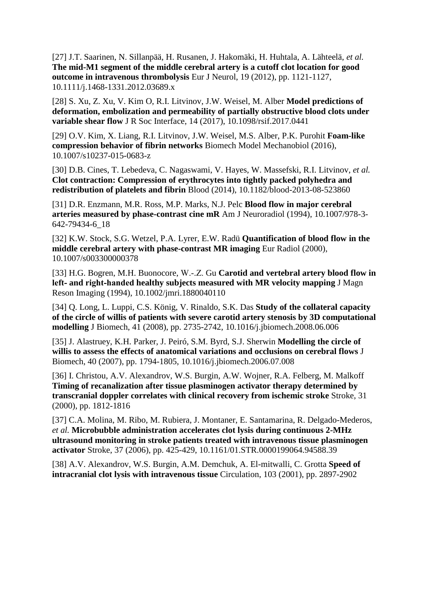[27] J.T. Saarinen, N. Sillanpää, H. Rusanen, J. Hakomäki, H. Huhtala, A. Lähteelä, *et al.* **The mid-M1 segment of the middle cerebral artery is a cutoff clot location for good outcome in intravenous thrombolysis** Eur J Neurol, 19 (2012), pp. 1121-1127, 10.1111/j.1468-1331.2012.03689.x

[28] S. Xu, Z. Xu, V. Kim O, R.I. Litvinov, J.W. Weisel, M. Alber **Model predictions of deformation, embolization and permeability of partially obstructive blood clots under variable shear flow** J R Soc Interface, 14 (2017), 10.1098/rsif.2017.0441

[29] O.V. Kim, X. Liang, R.I. Litvinov, J.W. Weisel, M.S. Alber, P.K. Purohit **Foam-like compression behavior of fibrin networks** Biomech Model Mechanobiol (2016), 10.1007/s10237-015-0683-z

[30] D.B. Cines, T. Lebedeva, C. Nagaswami, V. Hayes, W. Massefski, R.I. Litvinov, *et al.* **Clot contraction: Compression of erythrocytes into tightly packed polyhedra and redistribution of platelets and fibrin** Blood (2014), 10.1182/blood-2013-08-523860

[31] D.R. Enzmann, M.R. Ross, M.P. Marks, N.J. Pelc **Blood flow in major cerebral arteries measured by phase-contrast cine mR** Am J Neuroradiol (1994), 10.1007/978-3- 642-79434-6\_18

[32] K.W. Stock, S.G. Wetzel, P.A. Lyrer, E.W. Radü **Quantification of blood flow in the middle cerebral artery with phase-contrast MR imaging** Eur Radiol (2000), 10.1007/s003300000378

[33] H.G. Bogren, M.H. Buonocore, W.‐.Z. Gu **Carotid and vertebral artery blood flow in left‐ and right‐handed healthy subjects measured with MR velocity mapping** J Magn Reson Imaging (1994), 10.1002/jmri.1880040110

[34] Q. Long, L. Luppi, C.S. König, V. Rinaldo, S.K. Das **Study of the collateral capacity of the circle of willis of patients with severe carotid artery stenosis by 3D computational modelling** J Biomech, 41 (2008), pp. 2735-2742, 10.1016/j.jbiomech.2008.06.006

[35] J. Alastruey, K.H. Parker, J. Peiró, S.M. Byrd, S.J. Sherwin **Modelling the circle of willis to assess the effects of anatomical variations and occlusions on cerebral flows** J Biomech, 40 (2007), pp. 1794-1805, 10.1016/j.jbiomech.2006.07.008

[36] I. Christou, A.V. Alexandrov, W.S. Burgin, A.W. Wojner, R.A. Felberg, M. Malkoff **Timing of recanalization after tissue plasminogen activator therapy determined by transcranial doppler correlates with clinical recovery from ischemic stroke** Stroke, 31 (2000), pp. 1812-1816

[37] C.A. Molina, M. Ribo, M. Rubiera, J. Montaner, E. Santamarina, R. Delgado-Mederos, *et al.* **Microbubble administration accelerates clot lysis during continuous 2-MHz ultrasound monitoring in stroke patients treated with intravenous tissue plasminogen activator** Stroke, 37 (2006), pp. 425-429, 10.1161/01.STR.0000199064.94588.39

[38] A.V. Alexandrov, W.S. Burgin, A.M. Demchuk, A. El-mitwalli, C. Grotta **Speed of intracranial clot lysis with intravenous tissue** Circulation, 103 (2001), pp. 2897-2902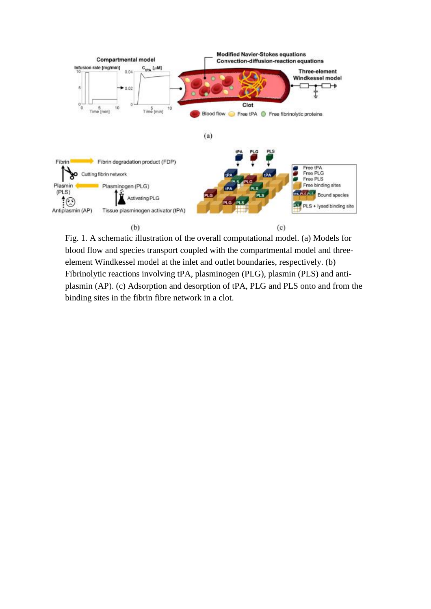

Fig. 1. A schematic illustration of the overall computational model. (a) Models for blood flow and species transport coupled with the compartmental model and threeelement Windkessel model at the inlet and outlet boundaries, respectively. (b) Fibrinolytic reactions involving tPA, plasminogen (PLG), plasmin (PLS) and antiplasmin (AP). (c) Adsorption and desorption of tPA, PLG and PLS onto and from the binding sites in the fibrin fibre network in a clot.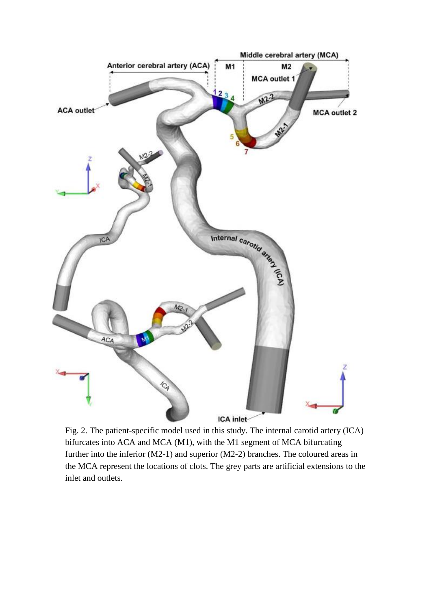

Fig. 2. The patient-specific model used in this study. The internal carotid artery (ICA) bifurcates into ACA and MCA (M1), with the M1 segment of MCA bifurcating further into the inferior (M2-1) and superior (M2-2) branches. The coloured areas in the MCA represent the locations of clots. The grey parts are artificial extensions to the inlet and outlets.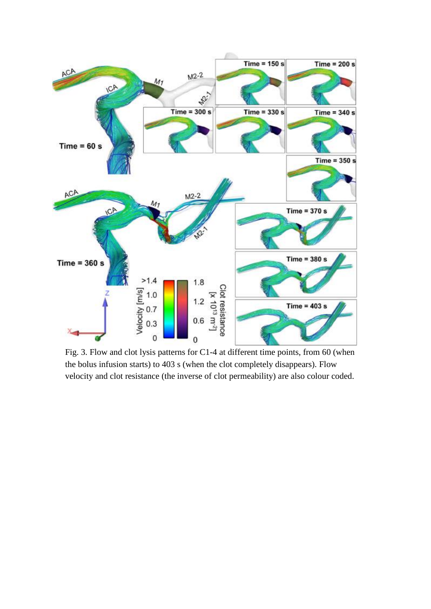

Fig. 3. Flow and clot lysis patterns for C1-4 at different time points, from 60 (when the bolus infusion starts) to 403 s (when the clot completely disappears). Flow velocity and clot resistance (the inverse of clot permeability) are also colour coded.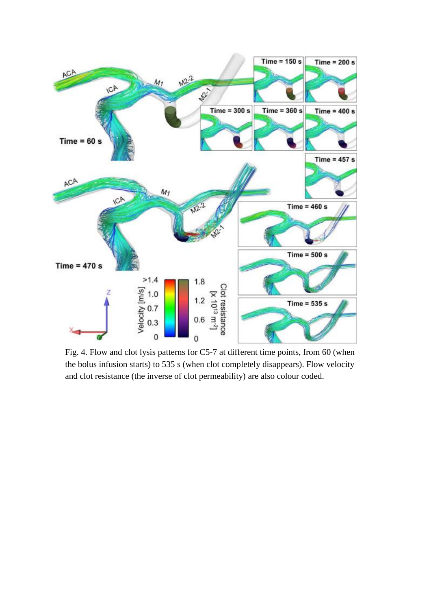

Fig. 4. Flow and clot lysis patterns for C5-7 at different time points, from 60 (when the bolus infusion starts) to 535 s (when clot completely disappears). Flow velocity and clot resistance (the inverse of clot permeability) are also colour coded.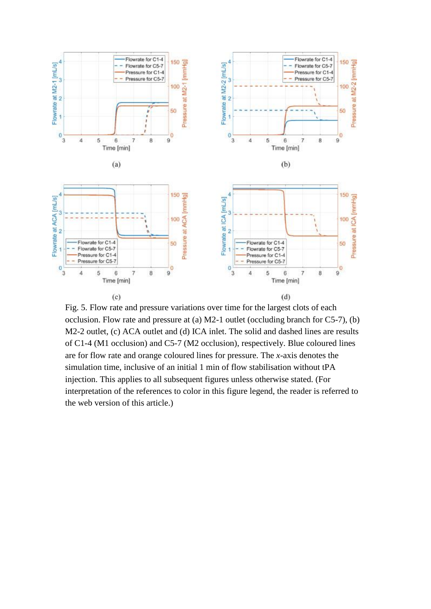

Fig. 5. Flow rate and pressure variations over time for the largest clots of each occlusion. Flow rate and pressure at (a) M2-1 outlet (occluding branch for C5-7), (b) M2-2 outlet, (c) ACA outlet and (d) ICA inlet. The solid and dashed lines are results of C1-4 (M1 occlusion) and C5-7 (M2 occlusion), respectively. Blue coloured lines are for flow rate and orange coloured lines for pressure. The *x*-axis denotes the simulation time, inclusive of an initial 1 min of flow stabilisation without tPA injection. This applies to all subsequent figures unless otherwise stated. (For interpretation of the references to color in this figure legend, the reader is referred to the web version of this article.)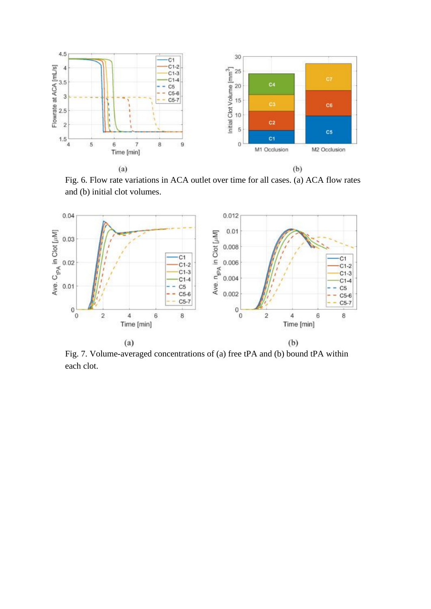

Fig. 6. Flow rate variations in ACA outlet over time for all cases. (a) ACA flow rates and (b) initial clot volumes.



Fig. 7. Volume-averaged concentrations of (a) free tPA and (b) bound tPA within each clot.